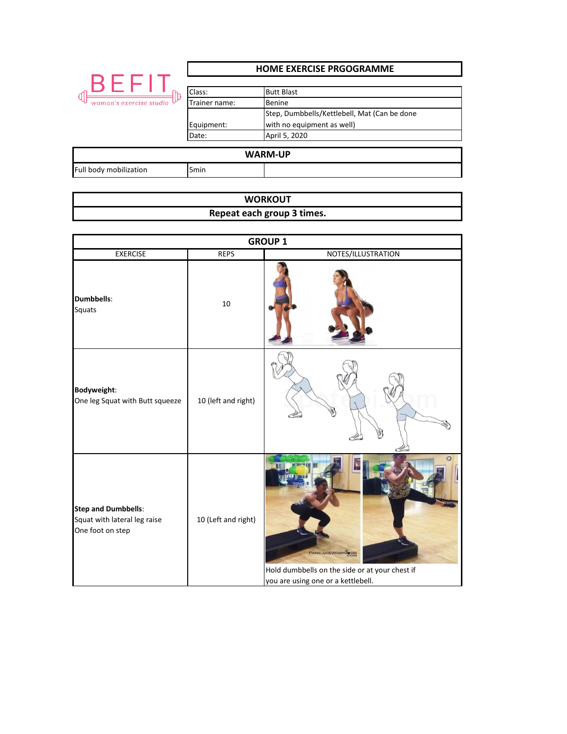|                         | <b>HOME EXERCISE PRGOGRAMME</b>                |                                                                                                                                   |  |
|-------------------------|------------------------------------------------|-----------------------------------------------------------------------------------------------------------------------------------|--|
| woman's exercise studio | Class:<br>Trainer name:<br>Equipment:<br>Date: | <b>Butt Blast</b><br><b>Benine</b><br>Step, Dumbbells/Kettlebell, Mat (Can be done<br>with no equipment as well)<br>April 5, 2020 |  |
|                         |                                                | <b>WARM-UP</b>                                                                                                                    |  |
| Full body mobilization  | 5 <sub>min</sub>                               |                                                                                                                                   |  |

## **WORKOUT Repeat each group 3 times.**

| <b>GROUP 1</b>                                                                 |                     |                                                                                                         |
|--------------------------------------------------------------------------------|---------------------|---------------------------------------------------------------------------------------------------------|
| <b>EXERCISE</b>                                                                | <b>REPS</b>         | NOTES/ILLUSTRATION                                                                                      |
| Dumbbells:<br>Squats                                                           | 10                  |                                                                                                         |
| <b>Bodyweight:</b><br>One leg Squat with Butt squeeze                          | 10 (left and right) |                                                                                                         |
| <b>Step and Dumbbells:</b><br>Squat with lateral leg raise<br>One foot on step | 10 (Left and right) | PANCAKEWARRIORS<br>Hold dumbbells on the side or at your chest if<br>you are using one or a kettlebell. |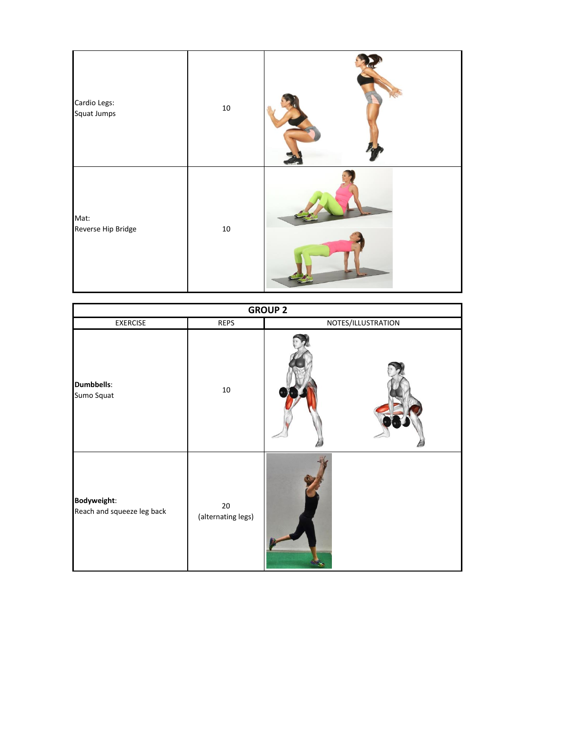| Cardio Legs:<br>Squat Jumps | $10\,$ |  |
|-----------------------------|--------|--|
| Mat:<br>Reverse Hip Bridge  | $10\,$ |  |

| <b>GROUP 2</b>                            |                              |                    |  |
|-------------------------------------------|------------------------------|--------------------|--|
| <b>EXERCISE</b>                           | <b>REPS</b>                  | NOTES/ILLUSTRATION |  |
| <b>Dumbbells:</b><br>Sumo Squat           | $10\,$                       |                    |  |
| Bodyweight:<br>Reach and squeeze leg back | $20\,$<br>(alternating legs) |                    |  |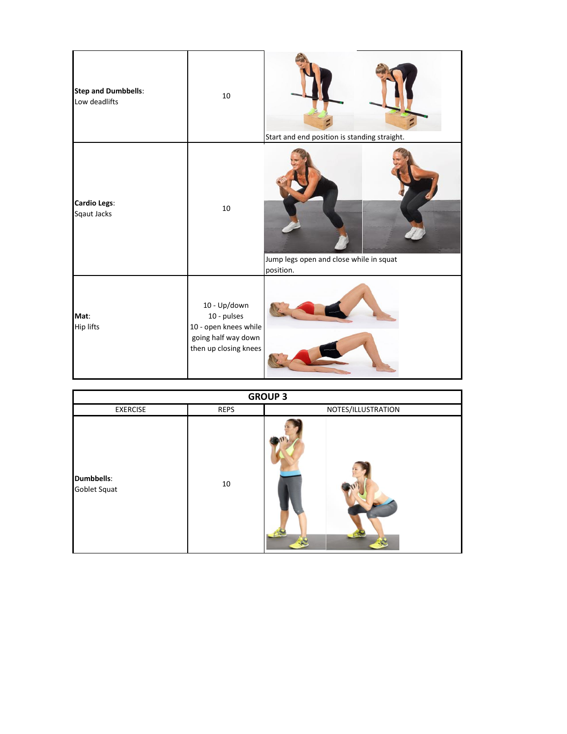| <b>Step and Dumbbells:</b><br>Low deadlifts | $10\,$                                                                                               | Start and end position is standing straight.         |
|---------------------------------------------|------------------------------------------------------------------------------------------------------|------------------------------------------------------|
| <b>Cardio Legs:</b><br>Sqaut Jacks          | 10                                                                                                   | Jump legs open and close while in squat<br>position. |
| Mat:<br>Hip lifts                           | 10 - Up/down<br>10 - pulses<br>10 - open knees while<br>going half way down<br>then up closing knees |                                                      |

| <b>GROUP 3</b>                    |      |                    |
|-----------------------------------|------|--------------------|
| <b>EXERCISE</b>                   | REPS | NOTES/ILLUSTRATION |
| <b>Dumbbells:</b><br>Goblet Squat | 10   |                    |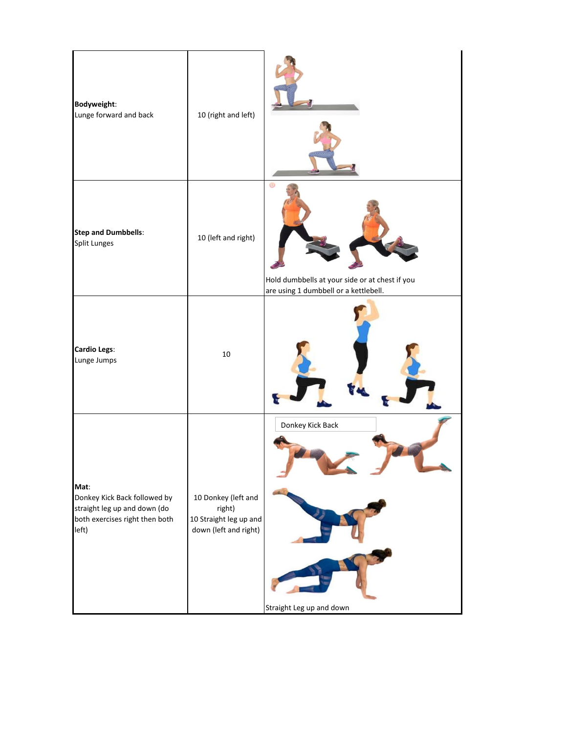